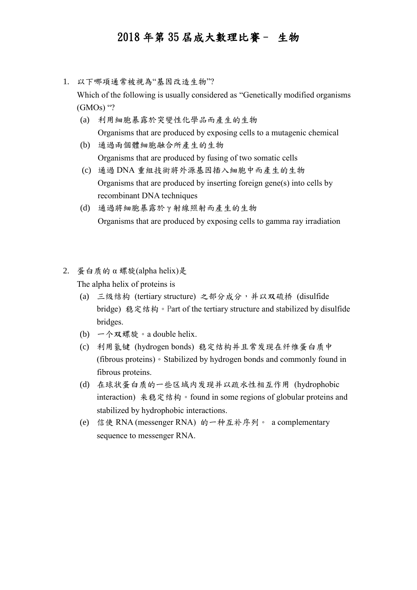- 1. 以下哪項通常被視為"基因改造生物"? Which of the following is usually considered as "Genetically modified organisms  $(GMOs)$  "?
	- (a) 利用細胞暴露於突變性化學品而產生的生物 Organisms that are produced by exposing cells to a mutagenic chemical
	- (b) 通過兩個體細胞融合所產生的生物 Organisms that are produced by fusing of two somatic cells
	- (c) 通過 DNA 重組技術將外源基因插入細胞中而產生的生物 Organisms that are produced by inserting foreign gene(s) into cells by recombinant DNA techniques
	- (d) 通過將細胞暴露於 γ 射線照射而產生的生物 Organisms that are produced by exposing cells to gamma ray irradiation
- 2. 蛋白质的 α 螺旋(alpha helix)是 The alpha helix of proteins is
	- (a) 三级结构 (tertiary structure) 之部分成分,并以双硫桥 (disulfide bridge) 稳定结构。Part of the tertiary structure and stabilized by disulfide bridges.
	- (b) 一个双螺旋。a double helix.
	- (c) 利用氢键 (hydrogen bonds) 稳定结构并且常发现在纤维蛋白质中 (fibrous proteins)。Stabilized by hydrogen bonds and commonly found in fibrous proteins.
	- (d) 在球状蛋白质的一些区域内发现并以疏水性相互作用 (hydrophobic interaction) 来稳定结构。found in some regions of globular proteins and stabilized by hydrophobic interactions.
	- (e) 信使 RNA (messenger RNA) 的一种互补序列。 a complementary sequence to messenger RNA.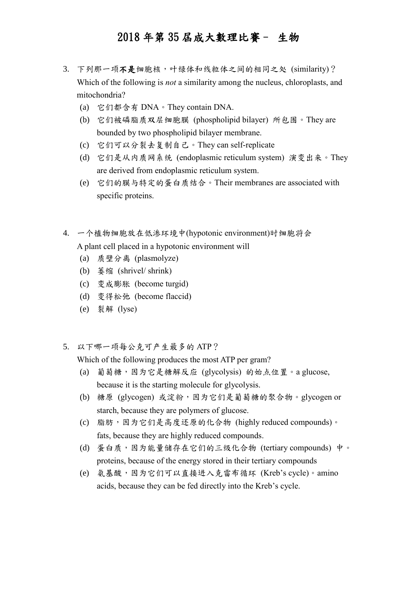- 3. 下列那一项不是细胞核,叶绿体和线粒体之间的相同之处 (similarity)? Which of the following is *not* a similarity among the nucleus, chloroplasts, and mitochondria?
	- (a) 它们都含有 DNA。They contain DNA.
	- (b) 它们被磷脂质双层细胞膜 (phospholipid bilayer) 所包围。They are bounded by two phospholipid bilayer membrane.
	- (c) 它们可以分裂去复制自己。They can self-replicate
	- (d) 它们是从内质网系统 (endoplasmic reticulum system) 演变出来。They are derived from endoplasmic reticulum system.
	- (e) 它们的膜与特定的蛋白质结合。Their membranes are associated with specific proteins.
- 4. 一个植物细胞放在低渗环境中(hypotonic environment)时细胞将会 A plant cell placed in a hypotonic environment will
	- (a) 质壁分离 (plasmolyze)
	- (b) 萎缩 (shrivel/ shrink)
	- (c) 变成膨胀 (become turgid)
	- (d) 变得松弛 (become flaccid)
	- (e) 裂解 (lyse)
- 5. 以下哪一项每公克可产生最多的 ATP?

Which of the following produces the most ATP per gram?

- (a) 葡萄糖,因为它是糖解反应 (glycolysis) 的始点位置。a glucose, because it is the starting molecule for glycolysis.
- (b) 糖原 (glycogen) 或淀粉,因为它们是葡萄糖的聚合物。glycogen or starch, because they are polymers of glucose.
- (c) 脂肪,因为它们是高度还原的化合物 (highly reduced compounds)。 fats, because they are highly reduced compounds.
- (d) 蛋白质,因为能量储存在它们的三级化合物 (tertiary compounds) 中。 proteins, because of the energy stored in their tertiary compounds
- (e) 氨基酸,因为它们可以直接进入克雷布循环 (Kreb's cycle)。amino acids, because they can be fed directly into the Kreb's cycle.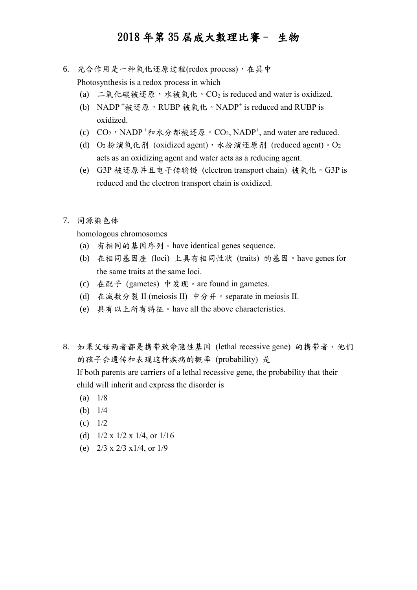- 6. 光合作用是一种氧化还原过程(redox process),在其中 Photosynthesis is a redox process in which
	- (a) 二氧化碳被还原,水被氧化。CO2 is reduced and water is oxidized.
	- (b) NADP<sup>+</sup>被还原,RUBP 被氧化。NADP<sup>+</sup> is reduced and RUBP is oxidized.
	- (c)  $CO_2$ , NADP+和水分都被还原。CO<sub>2</sub>, NADP+, and water are reduced.
	- (d)  $O_2$  扮演氧化剂 (oxidized agent), 水扮演还原剂 (reduced agent)。 $O_2$ acts as an oxidizing agent and water acts as a reducing agent.
	- (e) G3P 被还原并且电子传输链 (electron transport chain) 被氧化。G3P is reduced and the electron transport chain is oxidized.
- 7. 同源染色体

homologous chromosomes

- (a) 有相同的基因序列。have identical genes sequence.
- (b) 在相同基因座 (loci) 上具有相同性状 (traits) 的基因。have genes for the same traits at the same loci.
- (c) 在配子 (gametes) 中发现。are found in gametes.
- (d) 在减数分裂 II (meiosis II) 中分开。separate in meiosis II.
- (e) 具有以上所有特征。have all the above characteristics.
- 8. 如果父母两者都是携带致命隐性基因 (lethal recessive gene) 的携带者,他们 的孩子会遗传和表现这种疾病的概率 (probability) 是 If both parents are carriers of a lethal recessive gene, the probability that their

child will inherit and express the disorder is

- $(a)$   $1/8$
- (b) 1/4
- (c) 1/2
- (d) 1/2 x 1/2 x 1/4, or 1/16
- (e) 2/3 x 2/3 x1/4, or 1/9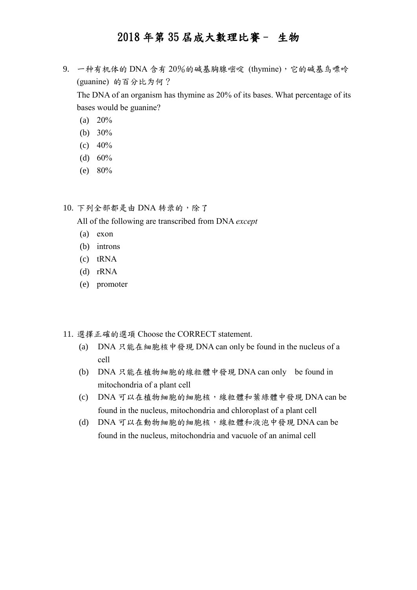9. 一种有机体的 DNA 含有 20%的碱基胸腺嘧啶 (thymine),它的碱基鸟嘌呤 (guanine) 的百分比为何?

The DNA of an organism has thymine as 20% of its bases. What percentage of its bases would be guanine?

- (a)  $20\%$
- (b) 30%
- (c)  $40%$
- (d)  $60%$
- (e) 80%

10. 下列全部都是由 DNA 转录的,除了

All of the following are transcribed from DNA *except*

- (a) exon
- (b) introns
- (c) tRNA
- (d) rRNA
- (e) promoter
- 11. 選擇正確的選項 Choose the CORRECT statement.
	- (a) DNA 只能在細胞核中發現 DNA can only be found in the nucleus of a cell
	- (b) DNA 只能在植物細胞的線粒體中發現 DNA can only be found in mitochondria of a plant cell
	- (c) DNA 可以在植物細胞的細胞核,線粒體和葉綠體中發現 DNA can be found in the nucleus, mitochondria and chloroplast of a plant cell
	- (d) DNA 可以在動物細胞的細胞核,線粒體和液泡中發現 DNA can be found in the nucleus, mitochondria and vacuole of an animal cell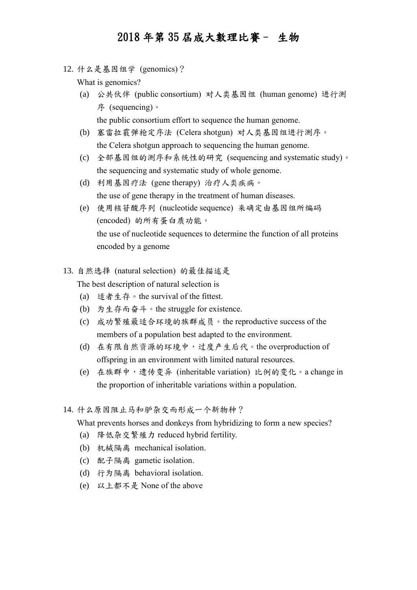12. 什么是基因组学 (genomics)?

What is genomics?

(a) 公共伙伴 (public consortium) 对人类基因组 (human genome) 进行测 序 (sequencing)。

the public consortium effort to sequence the human genome.

- (b) 塞雷拉霰弹枪定序法 (Celera shotgun) 对人类基因组进行测序。 the Celera shotgun approach to sequencing the human genome.
- (c) 全部基因组的测序和系统性的研究 (sequencing and systematic study)。 the sequencing and systematic study of whole genome.
- (d) 利用基因疗法 (gene therapy) 治疗人类疾病。 the use of gene therapy in the treatment of human diseases.
- (e) 使用核苷酸序列 (nucleotide sequence) 来确定由基因组所编码 (encoded) 的所有蛋白质功能。 the use of nucleotide sequences to determine the function of all proteins encoded by a genome
- 13. 自然选择 (natural selection) 的最佳描述是 The best description of natural selection is
	- (a) 适者生存。the survival of the fittest.
	- (b) 为生存而奋斗。the struggle for existence.
	- (c) 成功繁殖最适合环境的族群成员。the reproductive success of the members of a population best adapted to the environment.
	- (d) 在有限自然资源的环境中,过度产生后代。the overproduction of offspring in an environment with limited natural resources.
	- (e) 在族群中,遗传变异 (inheritable variation) 比例的变化。a change in the proportion of inheritable variations within a population.
- 14. 什么原因阻止马和驴杂交而形成一个新物种?

What prevents horses and donkeys from hybridizing to form a new species?

- (a) 降低杂交繁殖力 reduced hybrid fertility.
- (b) 机械隔离 mechanical isolation.
- (c) 配子隔离 gametic isolation.
- (d) 行为隔离 behavioral isolation.
- (e) 以上都不是 None of the above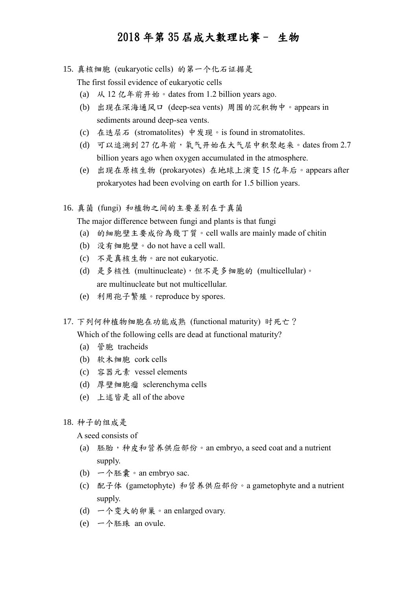15. 真核细胞 (eukaryotic cells) 的第一个化石证据是

The first fossil evidence of eukaryotic cells

- (a) 从 12 亿年前开始。dates from 1.2 billion years ago.
- (b) 出现在深海通风口 (deep-sea vents) 周围的沉积物中。appears in sediments around deep-sea vents.
- (c) 在迭层石 (stromatolites) 中发现。is found in stromatolites.
- (d) 可以追溯到 27 亿年前,氧气开始在大气层中积聚起来。dates from 2.7 billion years ago when oxygen accumulated in the atmosphere.
- (e) 出现在原核生物 (prokaryotes) 在地球上演变 15 亿年后。appears after prokaryotes had been evolving on earth for 1.5 billion years.

16. 真菌 (fungi) 和植物之间的主要差别在于真菌

The major difference between fungi and plants is that fungi

- (a) 的細胞壁主要成份為幾丁質。cell walls are mainly made of chitin
- (b) 没有细胞壁。do not have a cell wall.
- (c) 不是真核生物。are not eukaryotic.
- (d) 是多核性 (multinucleate),但不是多细胞的 (multicellular)。 are multinucleate but not multicellular.
- (e) 利用孢子繁殖。reproduce by spores.
- 17. 下列何种植物细胞在功能成熟 (functional maturity) 时死亡?

Which of the following cells are dead at functional maturity?

- (a) 管胞 tracheids
- (b) 软木细胞 cork cells
- (c) 容器元素 vessel elements
- (d) 厚壁细胞瘤 sclerenchyma cells
- (e) 上述皆是 all of the above
- 18. 种子的组成是

A seed consists of

- (a) 胚胎,种皮和营养供应部份。an embryo, a seed coat and a nutrient supply.
- (b) 一个胚囊。an embryo sac.
- (c) 配子体 (gametophyte) 和营养供应部份。a gametophyte and a nutrient supply.
- (d) 一个变大的卵巢。an enlarged ovary.
- (e) 一个胚珠 an ovule.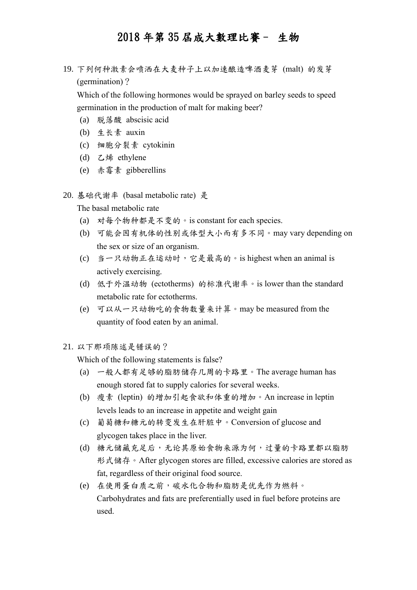19. 下列何种激素会喷洒在大麦种子上以加速酿造啤酒麦芽 (malt) 的发芽 (germination)?

Which of the following hormones would be sprayed on barley seeds to speed germination in the production of malt for making beer?

- (a) 脱落酸 abscisic acid
- (b) 生长素 auxin
- (c) 细胞分裂素 cytokinin
- (d) 乙烯 ethylene
- (e) 赤霉素 gibberellins
- 20. 基础代谢率 (basal metabolic rate) 是

The basal metabolic rate

- (a) 对每个物种都是不变的。is constant for each species.
- (b) 可能会因有机体的性别或体型大小而有多不同。may vary depending on the sex or size of an organism.
- (c) 当一只动物正在运动时,它是最高的。is highest when an animal is actively exercising.
- (d) 低于外温动物 (ectotherms) 的标准代谢率。is lower than the standard metabolic rate for ectotherms.
- (e) 可以从一只动物吃的食物数量来计算。may be measured from the quantity of food eaten by an animal.
- 21. 以下那项陈述是错误的?

Which of the following statements is false?

- (a) 一般人都有足够的脂肪储存几周的卡路里。The average human has enough stored fat to supply calories for several weeks.
- (b) 瘦素 (leptin) 的增加引起食欲和体重的增加。An increase in leptin levels leads to an increase in appetite and weight gain
- (c) 葡萄糖和糖元的转变发生在肝脏中。Conversion of glucose and glycogen takes place in the liver.
- (d) 糖元储藏充足后,无论其原始食物来源为何,过量的卡路里都以脂肪 形式储存。After glycogen stores are filled, excessive calories are stored as fat, regardless of their original food source.
- (e) 在使用蛋白质之前,碳水化合物和脂肪是优先作为燃料。 Carbohydrates and fats are preferentially used in fuel before proteins are used.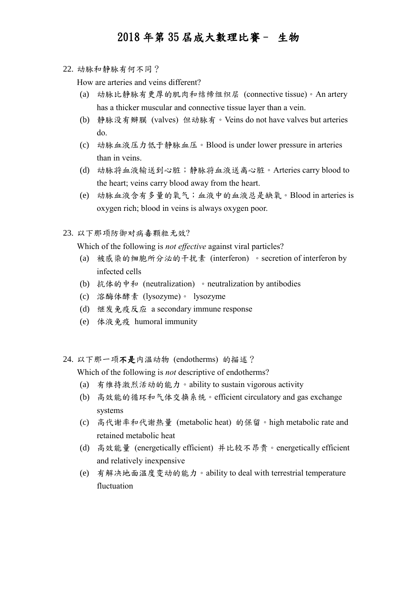22. 动脉和静脉有何不同?

How are arteries and veins different?

- (a) 动脉比静脉有更厚的肌肉和结缔组织层 (connective tissue)。An artery has a thicker muscular and connective tissue layer than a vein.
- (b) 静脉没有瓣膜 (valves) 但动脉有。Veins do not have valves but arteries do.
- (c) 动脉血液压力低于静脉血压。Blood is under lower pressure in arteries than in veins.
- (d) 动脉将血液输送到心脏;静脉将血液送离心脏。Arteries carry blood to the heart; veins carry blood away from the heart.
- (e) 动脉血液含有多量的氧气;血液中的血液总是缺氧。Blood in arteries is oxygen rich; blood in veins is always oxygen poor.
- 23. 以下那项防御对病毒颗粒无效?

Which of the following is *not effective* against viral particles?

- (a) 被感染的细胞所分泌的干扰素 (interferon) 。secretion of interferon by infected cells
- (b) 抗体的中和 (neutralization) 。neutralization by antibodies
- (c) 溶酶体酵素 (lysozyme)。 lysozyme
- (d) 继发免疫反应 a secondary immune response
- (e) 体液免疫 humoral immunity
- 24. 以下那一项不是内温动物 (endotherms) 的描述?

Which of the following is *not* descriptive of endotherms?

- (a) 有维持激烈活动的能力。ability to sustain vigorous activity
- (b) 高效能的循环和气体交换系统。efficient circulatory and gas exchange systems
- (c) 高代谢率和代谢热量 (metabolic heat) 的保留。high metabolic rate and retained metabolic heat
- (d) 高效能量 (energetically efficient) 并比较不昂贵。energetically efficient and relatively inexpensive
- (e) 有解决地面温度变动的能力。ability to deal with terrestrial temperature fluctuation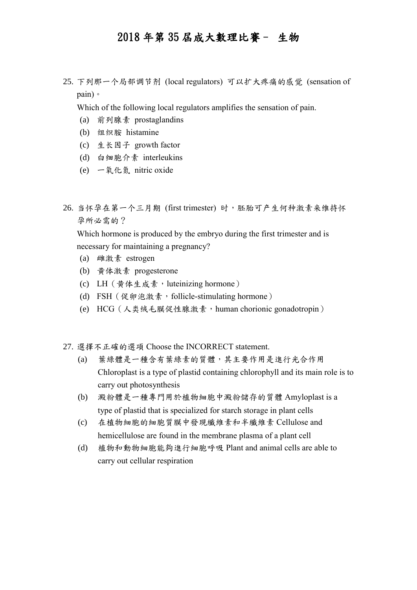25. 下列那一个局部调节剂 (local regulators) 可以扩大疼痛的感觉 (sensation of pain)。

Which of the following local regulators amplifies the sensation of pain.

- (a) 前列腺素 prostaglandins
- (b) 组织胺 histamine
- (c) 生长因子 growth factor
- (d) 白细胞介素 interleukins
- (e) 一氧化氮 nitric oxide
- 26. 当怀孕在第一个三月期 (first trimester) 时,胚胎可产生何种激素来维持怀 孕所必需的?

Which hormone is produced by the embryo during the first trimester and is necessary for maintaining a pregnancy?

- (a) 雌激素 estrogen
- (b) 黄体激素 progesterone
- (c) LH (黄体生成素, luteinizing hormone)
- (d) FSH (促卵泡激素, follicle-stimulating hormone)
- (e) HCG(人类绒毛膜促性腺激素,human chorionic gonadotropin)
- 27. 選擇不正確的選項 Choose the INCORRECT statement.
	- (a) 葉綠體是一種含有葉綠素的質體,其主要作用是進行光合作用 Chloroplast is a type of plastid containing chlorophyll and its main role is to carry out photosynthesis
	- (b) 澱粉體是一種專門用於植物細胞中澱粉儲存的質體 Amyloplast is a type of plastid that is specialized for starch storage in plant cells
	- (c) 在植物細胞的細胞質膜中發現纖維素和半纖維素 Cellulose and hemicellulose are found in the membrane plasma of a plant cell
	- (d) 植物和動物細胞能夠進行細胞呼吸 Plant and animal cells are able to carry out cellular respiration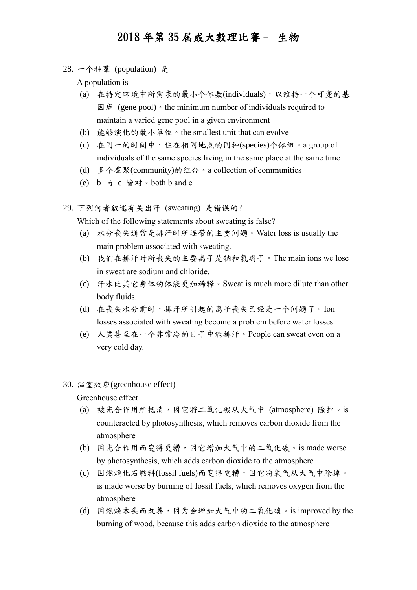28. 一个种羣 (population) 是

A population is

- (a) 在特定环境中所需求的最小个体数(individuals),以维持一个可变的基 因库 (gene pool)。the minimum number of individuals required to maintain a varied gene pool in a given environment
- (b) 能够演化的最小单位。the smallest unit that can evolve
- (c) 在同一的时间中,住在相同地点的同种(species)个体组。a group of individuals of the same species living in the same place at the same time
- (d) 多个羣聚(community)的组合。a collection of communities
- (e) b 与 c 皆对。both b and c
- 29. 下列何者叙述有关出汗 (sweating) 是错误的?

Which of the following statements about sweating is false?

- (a) 水分丧失通常是排汗时所连带的主要问题。Water loss is usually the main problem associated with sweating.
- (b) 我们在排汗时所丧失的主要离子是钠和氯离子。The main ions we lose in sweat are sodium and chloride.
- (c) 汗水比其它身体的体液更加稀释。Sweat is much more dilute than other body fluids.
- (d) 在丧失水分前时,排汗所引起的离子丧失己经是一个问题了。Ion losses associated with sweating become a problem before water losses.
- (e) 人类甚至在一个非常冷的日子中能排汗。People can sweat even on a very cold day.
- 30. 温室效应(greenhouse effect)

Greenhouse effect

- (a) 被光合作用所抵消,因它将二氧化碳从大气中 (atmosphere) 除掉。is counteracted by photosynthesis, which removes carbon dioxide from the atmosphere
- (b) 因光合作用而变得更糟,因它增加大气中的二氧化碳。is made worse by photosynthesis, which adds carbon dioxide to the atmosphere
- (c) 因燃烧化石燃料(fossil fuels)而变得更糟,因它将氧气从大气中除掉。 is made worse by burning of fossil fuels, which removes oxygen from the atmosphere
- $(d)$  因燃烧木头而改善,因为会增加大气中的二氧化碳。is improved by the burning of wood, because this adds carbon dioxide to the atmosphere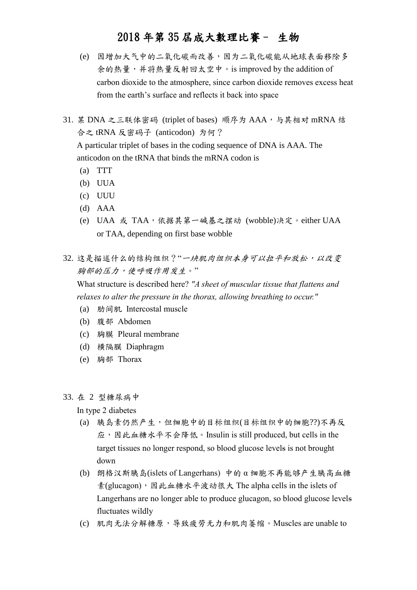- (e) 因增加大气中的二氧化碳而改善,因为二氧化碳能从地球表面移除多 余的热量,并将热量反射回太空中。is improved by the addition of carbon dioxide to the atmosphere, since carbon dioxide removes excess heat from the earth's surface and reflects it back into space
- 31. 某 DNA 之三联体密码 (triplet of bases) 顺序为 AAA, 与其相对 mRNA 结 合之 tRNA 反密码子 (anticodon) 为何?

A particular triplet of bases in the coding sequence of DNA is AAA. The anticodon on the tRNA that binds the mRNA codon is

- (a) TTT
- (b) UUA
- (c) UUU
- (d) AAA
- (e) UAA 或 TAA,依据其第一碱基之摆动 (wobble)决定。either UAA or TAA, depending on first base wobble
- 32. 这是描述什么的结构组织?"一块肌肉组织本身可以拉平和放松,以改变 胸部的压力,使呼吸作用发生。"

What structure is described here? *"A sheet of muscular tissue that flattens and relaxes to alter the pressure in the thorax, allowing breathing to occur."*

- (a) 肋间肌 Intercostal muscle
- (b) 腹部 Abdomen
- (c) 胸膜 Pleural membrane
- (d) 横隔膜 Diaphragm
- (e) 胸部 Thorax

#### 33. 在 2 型糖尿病中

In type 2 diabetes

- (a) 胰岛素仍然产生,但细胞中的目标组织(目标组织中的细胞??)不再反 应,因此血糖水平不会降低。Insulin is still produced, but cells in the target tissues no longer respond, so blood glucose levels is not brought down
- (b) 朗格汉斯胰岛(islets of Langerhans) 中的 α 细胞不再能够产生胰高血糖 素(glucagon),因此血糖水平波动很大 The alpha cells in the islets of Langerhans are no longer able to produce glucagon, so blood glucose levels fluctuates wildly
- (c) 肌肉无法分解糖原,导致疲劳无力和肌肉萎缩。Muscles are unable to